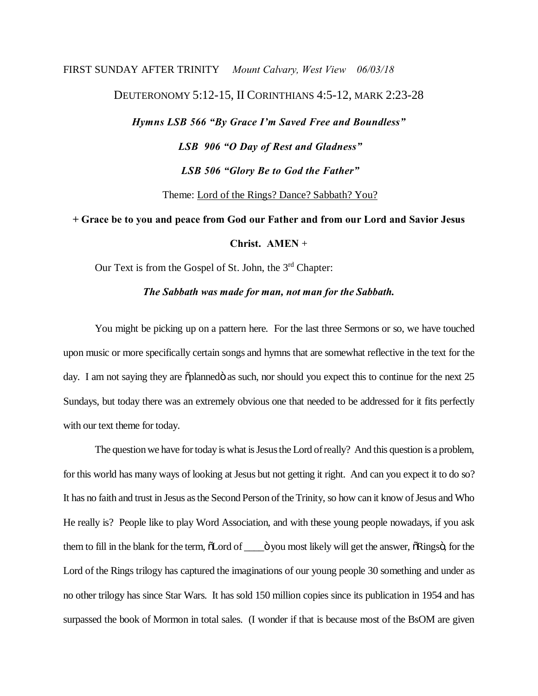## FIRST SUNDAY AFTER TRINITY *Mount Calvary, West View 06/03/18* DEUTERONOMY 5:12-15, II CORINTHIANS 4:5-12, MARK 2:23-28 *Hymns LSB 566 "By Grace I'm Saved Free and Boundless" LSB 906 "O Day of Rest and Gladness" LSB 506 "Glory Be to God the Father"* Theme: Lord of the Rings? Dance? Sabbath? You?

**+ Grace be to you and peace from God our Father and from our Lord and Savior Jesus** 

**Christ. AMEN** +

Our Text is from the Gospel of St. John, the 3rd Chapter:

*The Sabbath was made for man, not man for the Sabbath.*

You might be picking up on a pattern here. For the last three Sermons or so, we have touched upon music or more specifically certain songs and hymns that are somewhat reflective in the text for the day. I am not saying they are  $\ddot{\text{o}}$ planned $\ddot{\text{o}}$  as such, nor should you expect this to continue for the next 25 Sundays, but today there was an extremely obvious one that needed to be addressed for it fits perfectly with our text theme for today.

The question we have for today is what is Jesus the Lord ofreally? And this question is a problem, for this world has many ways of looking at Jesus but not getting it right. And can you expect it to do so? It has no faith and trust in Jesus as the Second Person of the Trinity, so how can it know of Jesus and Who He really is? People like to play Word Association, and with these young people nowadays, if you ask them to fill in the blank for the term,  $\ddot{\text{o}}$ Lord of  $\ddot{\text{o}}$  vou most likely will get the answer,  $\ddot{\text{o}}$ Rings $\ddot{\text{o}}$ , for the Lord of the Rings trilogy has captured the imaginations of our young people 30 something and under as no other trilogy has since Star Wars. It has sold 150 million copies since its publication in 1954 and has surpassed the book of Mormon in total sales. (I wonder if that is because most of the BsOM are given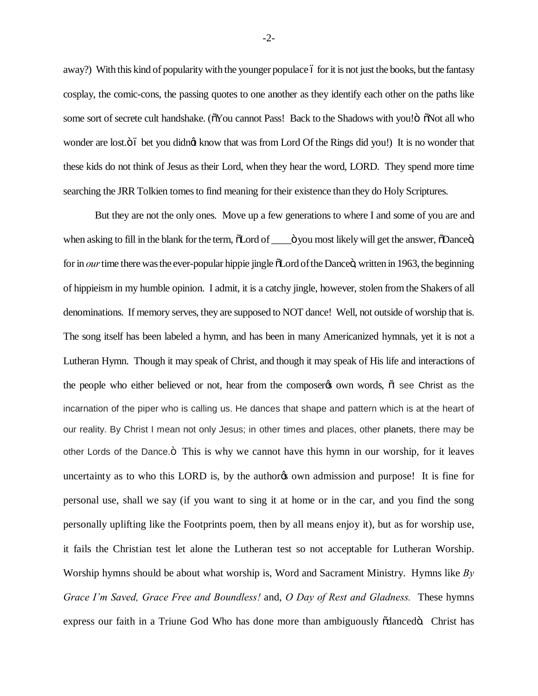away?) With this kind of popularity with the younger populace 6 for it is not just the books, but the fantasy cosplay, the comic-cons, the passing quotes to one another as they identify each other on the paths like some sort of secrete cult handshake. ( $\delta$ You cannot Pass! Back to the Shadows with you! $\delta$   $\delta$ Not all who wonder are lost. $\ddot{o}$  bet you didngt know that was from Lord Of the Rings did you!) It is no wonder that these kids do not think of Jesus as their Lord, when they hear the word, LORD. They spend more time searching the JRR Tolkien tomes to find meaning for their existence than they do Holy Scriptures.

But they are not the only ones. Move up a few generations to where I and some of you are and when asking to fill in the blank for the term,  $\tilde{O}$ Lord of  $\_\_$  over most likely will get the answer,  $\tilde{O}$ Dance $\ddot{o}$ , for in *our* time there was the ever-popular hippie jingle  $\delta$ Lord of the Dance $\ddot{\text{o}}$ , written in 1963, the beginning of hippieism in my humble opinion. I admit, it is a catchy jingle, however, stolen from the Shakers of all denominations. If memory serves, they are supposed to NOT dance! Well, not outside of worship that is. The song itself has been labeled a hymn, and has been in many Americanized hymnals, yet it is not a Lutheran Hymn. Though it may speak of Christ, and though it may speak of His life and interactions of the people who either believed or not, hear from the composer to own words,  $\ddot{\text{o}}$  see Christ as the incarnation of the piper who is calling us. He dances that shape and pattern which is at the heart of our reality. By Christ I mean not only Jesus; in other times and places, other planets, there may be other Lords of the Dance. $\ddot{o}$  This is why we cannot have this hymn in our worship, for it leaves uncertainty as to who this LORD is, by the author<sub>of</sub> own admission and purpose! It is fine for personal use, shall we say (if you want to sing it at home or in the car, and you find the song personally uplifting like the Footprints poem, then by all means enjoy it), but as for worship use, it fails the Christian test let alone the Lutheran test so not acceptable for Lutheran Worship. Worship hymns should be about what worship is, Word and Sacrament Ministry. Hymns like *By Grace I'm Saved, Grace Free and Boundless!* and, *O Day of Rest and Gladness.* These hymns express our faith in a Triune God Who has done more than ambiguously  $\delta$ danced $\delta$ . Christ has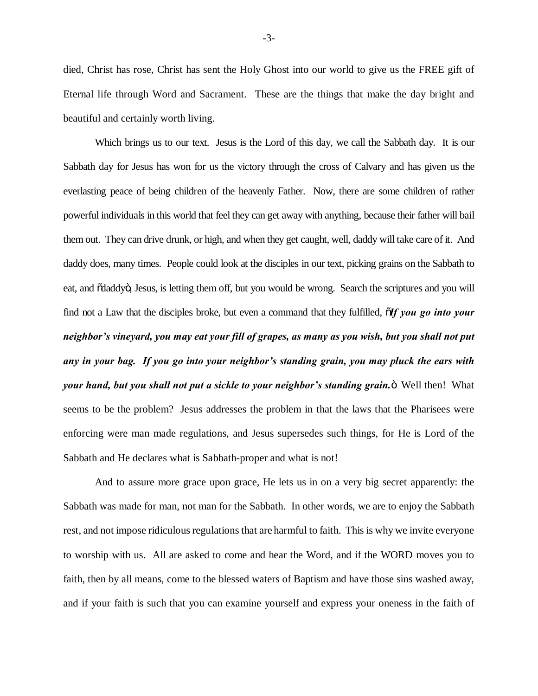died, Christ has rose, Christ has sent the Holy Ghost into our world to give us the FREE gift of Eternal life through Word and Sacrament. These are the things that make the day bright and beautiful and certainly worth living.

Which brings us to our text. Jesus is the Lord of this day, we call the Sabbath day. It is our Sabbath day for Jesus has won for us the victory through the cross of Calvary and has given us the everlasting peace of being children of the heavenly Father. Now, there are some children of rather powerful individuals in this world that feel they can get away with anything, because their father will bail them out. They can drive drunk, or high, and when they get caught, well, daddy will take care of it. And daddy does, many times. People could look at the disciples in our text, picking grains on the Sabbath to eat, and  $\ddot{\text{od}}$  dddy $\ddot{\text{o}}$ , Jesus, is letting them off, but you would be wrong. Search the scriptures and you will find not a Law that the disciples broke, but even a command that they fulfilled,  $\tilde{d}f$  you go into your *neighbor's vineyard, you may eat your fill of grapes, as many as you wish, but you shall not put any in your bag. If you go into your neighbor's standing grain, you may pluck the ears with your hand, but you shall not put a sickle to your neighbor's standing grain.*" Well then! What seems to be the problem? Jesus addresses the problem in that the laws that the Pharisees were enforcing were man made regulations, and Jesus supersedes such things, for He is Lord of the Sabbath and He declares what is Sabbath-proper and what is not!

And to assure more grace upon grace, He lets us in on a very big secret apparently: the Sabbath was made for man, not man for the Sabbath. In other words, we are to enjoy the Sabbath rest, and not impose ridiculous regulations that are harmful to faith. This is why we invite everyone to worship with us. All are asked to come and hear the Word, and if the WORD moves you to faith, then by all means, come to the blessed waters of Baptism and have those sins washed away, and if your faith is such that you can examine yourself and express your oneness in the faith of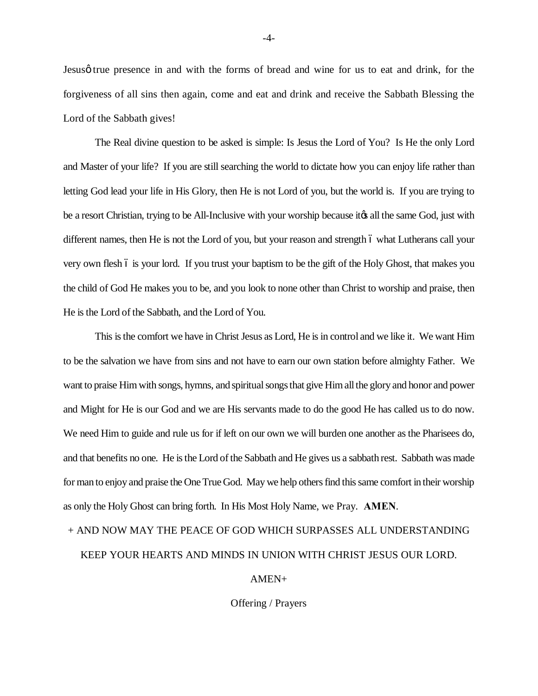Jesus true presence in and with the forms of bread and wine for us to eat and drink, for the forgiveness of all sins then again, come and eat and drink and receive the Sabbath Blessing the Lord of the Sabbath gives!

The Real divine question to be asked is simple: Is Jesus the Lord of You? Is He the only Lord and Master of your life? If you are still searching the world to dictate how you can enjoy life rather than letting God lead your life in His Glory, then He is not Lord of you, but the world is. If you are trying to be a resort Christian, trying to be All-Inclusive with your worship because it ts all the same God, just with different names, then He is not the Lord of you, but your reason and strength 6 what Lutherans call your very own flesh 6 is your lord. If you trust your baptism to be the gift of the Holy Ghost, that makes you the child of God He makes you to be, and you look to none other than Christ to worship and praise, then He is the Lord of the Sabbath, and the Lord of You.

This is the comfort we have in Christ Jesus as Lord, He is in control and we like it. We want Him to be the salvation we have from sins and not have to earn our own station before almighty Father. We want to praise Him with songs, hymns, and spiritual songs that give Him all the glory and honor and power and Might for He is our God and we are His servants made to do the good He has called us to do now. We need Him to guide and rule us for if left on our own we will burden one another as the Pharisees do, and that benefits no one. He is the Lord of the Sabbath and He gives us a sabbath rest. Sabbath was made for man to enjoy and praise the One True God. May we help others find this same comfort in their worship as only the Holy Ghost can bring forth. In His Most Holy Name, we Pray. **AMEN**.

## + AND NOW MAY THE PEACE OF GOD WHICH SURPASSES ALL UNDERSTANDING KEEP YOUR HEARTS AND MINDS IN UNION WITH CHRIST JESUS OUR LORD.

## AMEN+

Offering / Prayers